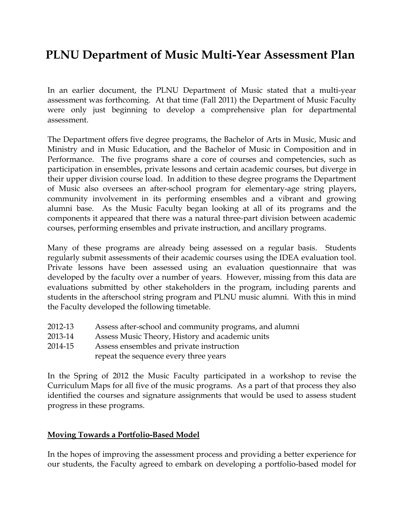## **PLNU Department of Music Multi-Year Assessment Plan**

In an earlier document, the PLNU Department of Music stated that a multi-year assessment was forthcoming. At that time (Fall 2011) the Department of Music Faculty were only just beginning to develop a comprehensive plan for departmental assessment.

The Department offers five degree programs, the Bachelor of Arts in Music, Music and Ministry and in Music Education, and the Bachelor of Music in Composition and in Performance. The five programs share a core of courses and competencies, such as participation in ensembles, private lessons and certain academic courses, but diverge in their upper division course load. In addition to these degree programs the Department of Music also oversees an after-school program for elementary-age string players, community involvement in its performing ensembles and a vibrant and growing alumni base. As the Music Faculty began looking at all of its programs and the components it appeared that there was a natural three-part division between academic courses, performing ensembles and private instruction, and ancillary programs.

Many of these programs are already being assessed on a regular basis. Students regularly submit assessments of their academic courses using the IDEA evaluation tool. Private lessons have been assessed using an evaluation questionnaire that was developed by the faculty over a number of years. However, missing from this data are evaluations submitted by other stakeholders in the program, including parents and students in the afterschool string program and PLNU music alumni. With this in mind the Faculty developed the following timetable.

- 2012-13 Assess after-school and community programs, and alumni
- 2013-14 Assess Music Theory, History and academic units
- 2014-15 Assess ensembles and private instruction
	- repeat the sequence every three years

In the Spring of 2012 the Music Faculty participated in a workshop to revise the Curriculum Maps for all five of the music programs. As a part of that process they also identified the courses and signature assignments that would be used to assess student progress in these programs.

## **Moving Towards a Portfolio-Based Model**

In the hopes of improving the assessment process and providing a better experience for our students, the Faculty agreed to embark on developing a portfolio-based model for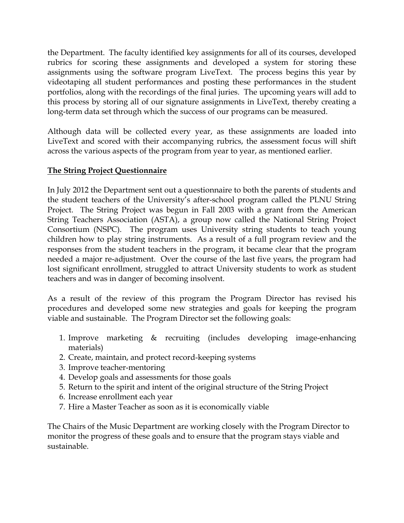the Department. The faculty identified key assignments for all of its courses, developed rubrics for scoring these assignments and developed a system for storing these assignments using the software program LiveText. The process begins this year by videotaping all student performances and posting these performances in the student portfolios, along with the recordings of the final juries. The upcoming years will add to this process by storing all of our signature assignments in LiveText, thereby creating a long-term data set through which the success of our programs can be measured.

Although data will be collected every year, as these assignments are loaded into LiveText and scored with their accompanying rubrics, the assessment focus will shift across the various aspects of the program from year to year, as mentioned earlier.

## **The String Project Questionnaire**

In July 2012 the Department sent out a questionnaire to both the parents of students and the student teachers of the University's after-school program called the PLNU String Project. The String Project was begun in Fall 2003 with a grant from the American String Teachers Association (ASTA), a group now called the National String Project Consortium (NSPC). The program uses University string students to teach young children how to play string instruments. As a result of a full program review and the responses from the student teachers in the program, it became clear that the program needed a major re-adjustment. Over the course of the last five years, the program had lost significant enrollment, struggled to attract University students to work as student teachers and was in danger of becoming insolvent.

As a result of the review of this program the Program Director has revised his procedures and developed some new strategies and goals for keeping the program viable and sustainable. The Program Director set the following goals:

- 1. Improve marketing & recruiting (includes developing image-enhancing materials)
- 2. Create, maintain, and protect record-keeping systems
- 3. Improve teacher-mentoring
- 4. Develop goals and assessments for those goals
- 5. Return to the spirit and intent of the original structure of the String Project
- 6. Increase enrollment each year
- 7. Hire a Master Teacher as soon as it is economically viable

The Chairs of the Music Department are working closely with the Program Director to monitor the progress of these goals and to ensure that the program stays viable and sustainable.